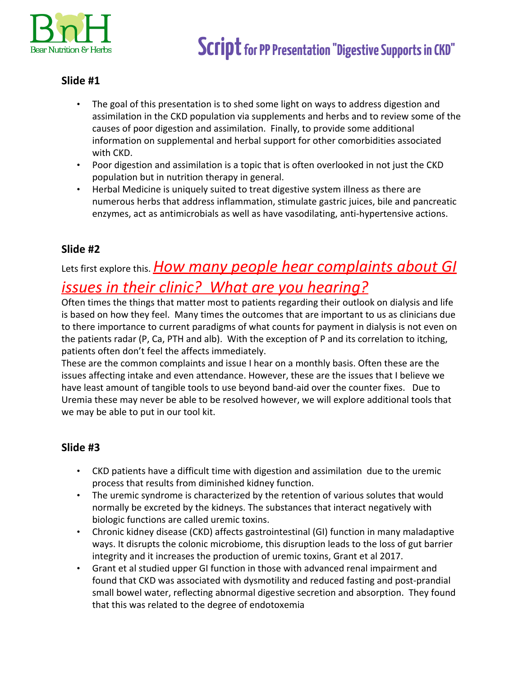

- The goal of this presentation is to shed some light on ways to address digestion and assimilation in the CKD population via supplements and herbs and to review some of the causes of poor digestion and assimilation. Finally, to provide some additional information on supplemental and herbal support for other comorbidities associated with CKD.
- Poor digestion and assimilation is a topic that is often overlooked in not just the CKD population but in nutrition therapy in general.
- Herbal Medicine is uniquely suited to treat digestive system illness as there are numerous herbs that address inflammation, stimulate gastric juices, bile and pancreatic enzymes, act as antimicrobials as well as have vasodilating, anti-hypertensive actions.

## **Slide #2**

# Lets first explore this. *How many people hear complaints about GI issues in their clinic? What are you hearing?*

Often times the things that matter most to patients regarding their outlook on dialysis and life is based on how they feel. Many times the outcomes that are important to us as clinicians due to there importance to current paradigms of what counts for payment in dialysis is not even on the patients radar (P, Ca, PTH and alb). With the exception of P and its correlation to itching, patients often don't feel the affects immediately.

These are the common complaints and issue I hear on a monthly basis. Often these are the issues affecting intake and even attendance. However, these are the issues that I believe we have least amount of tangible tools to use beyond band-aid over the counter fixes. Due to Uremia these may never be able to be resolved however, we will explore additional tools that we may be able to put in our tool kit.

- CKD patients have a difficult time with digestion and assimilation due to the uremic process that results from diminished kidney function.
- The uremic syndrome is characterized by the retention of various solutes that would normally be excreted by the kidneys. The substances that interact negatively with biologic functions are called uremic toxins.
- Chronic kidney disease (CKD) affects gastrointestinal (GI) function in many maladaptive ways. It disrupts the colonic microbiome, this disruption leads to the loss of gut barrier integrity and it increases the production of uremic toxins, Grant et al 2017.
- Grant et al studied upper GI function in those with advanced renal impairment and found that CKD was associated with dysmotility and reduced fasting and post-prandial small bowel water, reflecting abnormal digestive secretion and absorption. They found that this was related to the degree of endotoxemia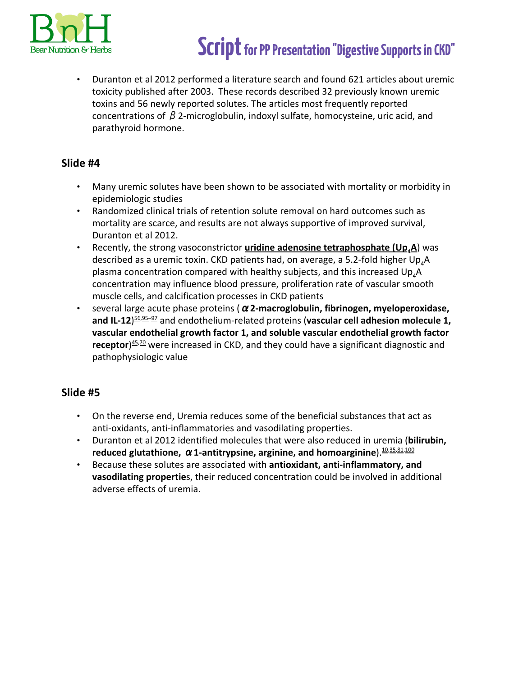

• Duranton et al 2012 performed a literature search and found 621 articles about uremic toxicity published after 2003. These records described 32 previously known uremic toxins and 56 newly reported solutes. The articles most frequently reported concentrations of  $β$  2-microglobulin, indoxyl sulfate, homocysteine, uric acid, and parathyroid hormone.

## **Slide #4**

- Many uremic solutes have been shown to be associated with mortality or morbidity in epidemiologic studies
- Randomized clinical trials of retention solute removal on hard outcomes such as mortality are scarce, and results are not always supportive of improved survival, Duranton et al 2012.
- Recently, the strong vasoconstrictor **uridine adenosine tetraphosphate (Up4A**) was described as a uremic toxin. CKD patients had, on average, a 5.2-fold higher  $Up_{4}A$ plasma concentration compared with healthy subjects, and this increased  $Up_{A}A$ concentration may influence blood pressure, proliferation rate of vascular smooth muscle cells, and calcification processes in CKD patients
- several large acute phase proteins (α**2-macroglobulin, fibrinogen, myeloperoxidase,** and IL-12)<sup>56,95-97</sup> and endothelium-related proteins (vascular cell adhesion molecule 1, **vascular endothelial growth factor 1, and soluble vascular endothelial growth factor** receptor)<sup>[45](https://www.ncbi.nlm.nih.gov/pmc/articles/PMC3380651/),[70](https://www.ncbi.nlm.nih.gov/pmc/articles/PMC3380651/)</sup> were increased in CKD, and they could have a significant diagnostic and pathophysiologic value

- On the reverse end, Uremia reduces some of the beneficial substances that act as anti-oxidants, anti-inflammatories and vasodilating properties.
- Duranton et al 2012 identified molecules that were also reduced in uremia (**bilirubin, reduced glutathione, α1-antitrypsine, arginine, and homoarginine**). [10,35,81](https://www.ncbi.nlm.nih.gov/pmc/articles/PMC3380651/),[100](https://www.ncbi.nlm.nih.gov/pmc/articles/PMC3380651/)
- Because these solutes are associated with **antioxidant, anti-inflammatory, and vasodilating propertie**s, their reduced concentration could be involved in additional adverse effects of uremia.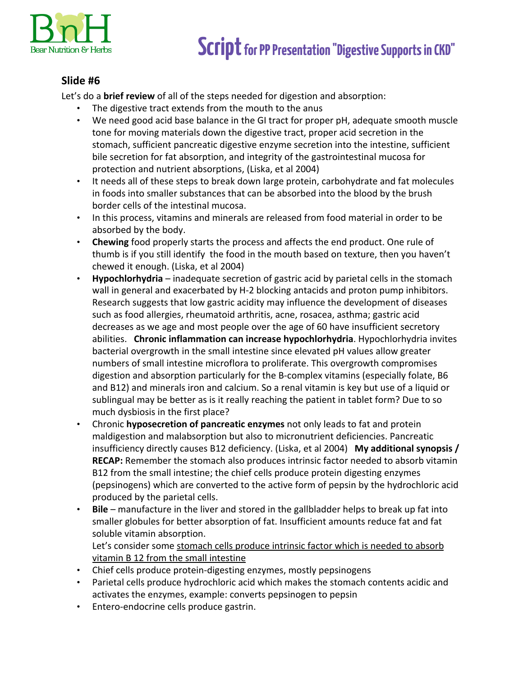

## **Slide #6**

Let's do a **brief review** of all of the steps needed for digestion and absorption:

- The digestive tract extends from the mouth to the anus
- We need good acid base balance in the GI tract for proper pH, adequate smooth muscle tone for moving materials down the digestive tract, proper acid secretion in the stomach, sufficient pancreatic digestive enzyme secretion into the intestine, sufficient bile secretion for fat absorption, and integrity of the gastrointestinal mucosa for protection and nutrient absorptions, (Liska, et al 2004)
- It needs all of these steps to break down large protein, carbohydrate and fat molecules in foods into smaller substances that can be absorbed into the blood by the brush border cells of the intestinal mucosa.
- In this process, vitamins and minerals are released from food material in order to be absorbed by the body.
- **Chewing** food properly starts the process and affects the end product. One rule of thumb is if you still identify the food in the mouth based on texture, then you haven't chewed it enough. (Liska, et al 2004)
- **Hypochlorhydria** inadequate secretion of gastric acid by parietal cells in the stomach wall in general and exacerbated by H-2 blocking antacids and proton pump inhibitors. Research suggests that low gastric acidity may influence the development of diseases such as food allergies, rheumatoid arthritis, acne, rosacea, asthma; gastric acid decreases as we age and most people over the age of 60 have insufficient secretory abilities. **Chronic inflammation can increase hypochlorhydria**. Hypochlorhydria invites bacterial overgrowth in the small intestine since elevated pH values allow greater numbers of small intestine microflora to proliferate. This overgrowth compromises digestion and absorption particularly for the B-complex vitamins (especially folate, B6 and B12) and minerals iron and calcium. So a renal vitamin is key but use of a liquid or sublingual may be better as is it really reaching the patient in tablet form? Due to so much dysbiosis in the first place?
- Chronic **hyposecretion of pancreatic enzymes** not only leads to fat and protein maldigestion and malabsorption but also to micronutrient deficiencies. Pancreatic insufficiency directly causes B12 deficiency. (Liska, et al 2004) **My additional synopsis / RECAP:** Remember the stomach also produces intrinsic factor needed to absorb vitamin B12 from the small intestine; the chief cells produce protein digesting enzymes (pepsinogens) which are converted to the active form of pepsin by the hydrochloric acid produced by the parietal cells.
- **Bile** manufacture in the liver and stored in the gallbladder helps to break up fat into smaller globules for better absorption of fat. Insufficient amounts reduce fat and fat soluble vitamin absorption.

Let's consider some stomach cells produce intrinsic factor which is needed to absorb vitamin B 12 from the small intestine

- Chief cells produce protein-digesting enzymes, mostly pepsinogens
- Parietal cells produce hydrochloric acid which makes the stomach contents acidic and activates the enzymes, example: converts pepsinogen to pepsin
- Entero-endocrine cells produce gastrin.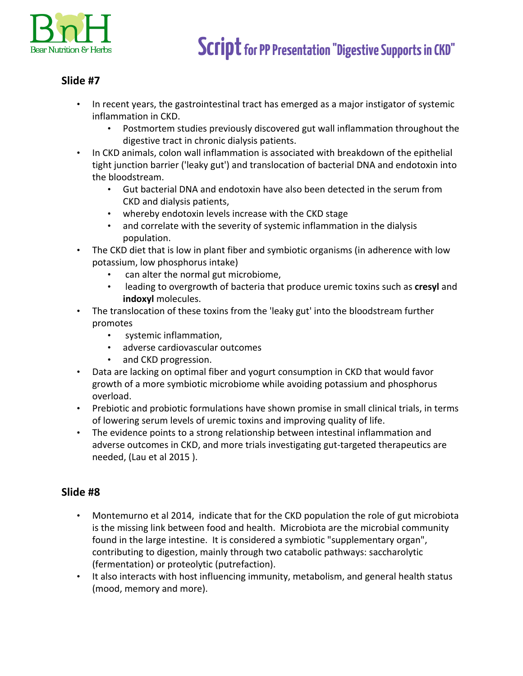

- In recent years, the gastrointestinal tract has emerged as a major instigator of systemic inflammation in CKD.
	- Postmortem studies previously discovered gut wall inflammation throughout the digestive tract in chronic dialysis patients.
- In CKD animals, colon wall inflammation is associated with breakdown of the epithelial tight junction barrier ('leaky gut') and translocation of bacterial DNA and endotoxin into the bloodstream.
	- Gut bacterial DNA and endotoxin have also been detected in the serum from CKD and dialysis patients,
	- whereby endotoxin levels increase with the CKD stage
	- and correlate with the severity of systemic inflammation in the dialysis population.
- The CKD diet that is low in plant fiber and symbiotic organisms (in adherence with low potassium, low phosphorus intake)
	- can alter the normal gut microbiome,
	- leading to overgrowth of bacteria that produce uremic toxins such as **cresyl** and **indoxyl** molecules.
- The translocation of these toxins from the 'leaky gut' into the bloodstream further promotes
	- systemic inflammation,
	- adverse cardiovascular outcomes
	- and CKD progression.
- Data are lacking on optimal fiber and yogurt consumption in CKD that would favor growth of a more symbiotic microbiome while avoiding potassium and phosphorus overload.
- Prebiotic and probiotic formulations have shown promise in small clinical trials, in terms of lowering serum levels of uremic toxins and improving quality of life.
- The evidence points to a strong relationship between intestinal inflammation and adverse outcomes in CKD, and more trials investigating gut-targeted therapeutics are needed, (Lau et al 2015 ).

- Montemurno et al 2014, indicate that for the CKD population the role of gut microbiota is the missing link between food and health. Microbiota are the microbial community found in the large intestine. It is considered a symbiotic "supplementary organ", contributing to digestion, mainly through two catabolic pathways: saccharolytic (fermentation) or proteolytic (putrefaction).
- It also interacts with host influencing immunity, metabolism, and general health status (mood, memory and more).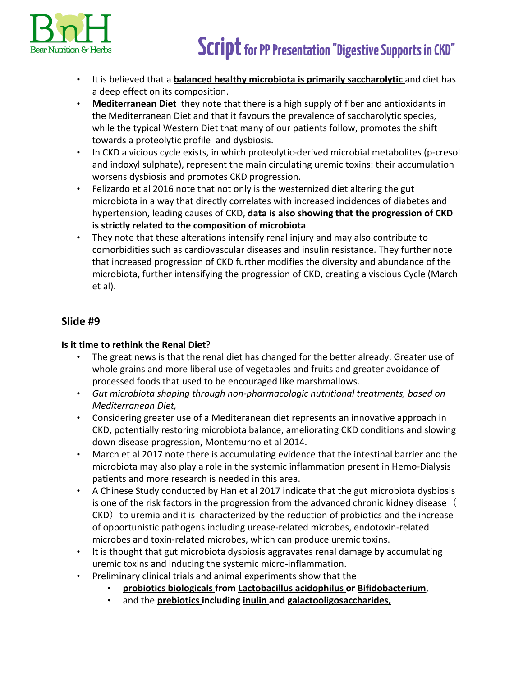

- It is believed that a **balanced healthy microbiota is primarily saccharolytic** and diet has a deep effect on its composition.
- **Mediterranean Diet** they note that there is a high supply of fiber and antioxidants in the Mediterranean Diet and that it favours the prevalence of saccharolytic species, while the typical Western Diet that many of our patients follow, promotes the shift towards a proteolytic profile and dysbiosis.
- In CKD a vicious cycle exists, in which proteolytic-derived microbial metabolites (p-cresol and indoxyl sulphate), represent the main circulating uremic toxins: their accumulation worsens dysbiosis and promotes CKD progression.
- Felizardo et al 2016 note that not only is the westernized diet altering the gut microbiota in a way that directly correlates with increased incidences of diabetes and hypertension, leading causes of CKD, **data is also showing that the progression of CKD is strictly related to the composition of microbiota**.
- They note that these alterations intensify renal injury and may also contribute to comorbidities such as cardiovascular diseases and insulin resistance. They further note that increased progression of CKD further modifies the diversity and abundance of the microbiota, further intensifying the progression of CKD, creating a viscious Cycle (March et al).

### **Is it time to rethink the Renal Diet**?

- The great news is that the renal diet has changed for the better already. Greater use of whole grains and more liberal use of vegetables and fruits and greater avoidance of processed foods that used to be encouraged like marshmallows.
- *Gut microbiota shaping through non-pharmacologic nutritional treatments, based on Mediterranean Diet,*
- Considering greater use of a Mediteranean diet represents an innovative approach in CKD, potentially restoring microbiota balance, ameliorating CKD conditions and slowing down disease progression, Montemurno et al 2014.
- March et al 2017 note there is accumulating evidence that the intestinal barrier and the microbiota may also play a role in the systemic inflammation present in Hemo-Dialysis patients and more research is needed in this area.
- A Chinese Study conducted by Han et al 2017 indicate that the gut microbiota dysbiosis is one of the risk factors in the progression from the advanced chronic kidney disease  $($  $CKD$ ) to uremia and it is characterized by the reduction of probiotics and the increase of opportunistic pathogens including urease-related microbes, endotoxin-related microbes and toxin-related microbes, which can produce uremic toxins.
- It is thought that gut microbiota dysbiosis aggravates renal damage by accumulating uremic toxins and inducing the systemic micro-inflammation.
	- Preliminary clinical trials and animal experiments show that the
		- **probiotics biologicals from Lactobacillus acidophilus or Bifidobacterium**,
		- and the **prebiotics including inulin and galactooligosaccharides,**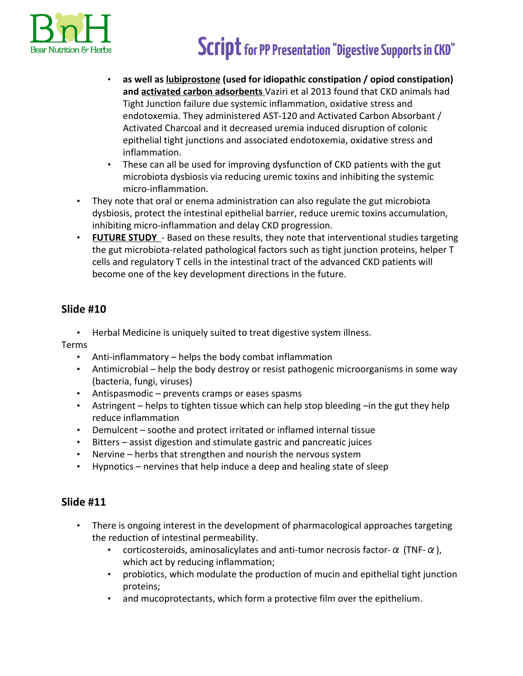

- **as well as lubiprostone (used for idiopathic constipation / opiod constipation) and activated carbon adsorbents** Vaziri et al 2013 found that CKD animals had Tight Junction failure due systemic inflammation, oxidative stress and endotoxemia. They administered AST-120 and Activated Carbon Absorbant / Activated Charcoal and it decreased uremia induced disruption of colonic epithelial tight junctions and associated endotoxemia, oxidative stress and inflammation.
- These can all be used for improving dysfunction of CKD patients with the gut microbiota dysbiosis via reducing uremic toxins and inhibiting the systemic micro-inflammation.
- They note that oral or enema administration can also regulate the gut microbiota dysbiosis, protect the intestinal epithelial barrier, reduce uremic toxins accumulation, inhibiting micro-inflammation and delay CKD progression.
- **FUTURE STUDY**  Based on these results, they note that interventional studies targeting the gut microbiota-related pathological factors such as tight junction proteins, helper T cells and regulatory T cells in the intestinal tract of the advanced CKD patients will become one of the key development directions in the future.

## **Slide #10**

• Herbal Medicine is uniquely suited to treat digestive system illness.

Terms

- Anti-inflammatory helps the body combat inflammation
- Antimicrobial help the body destroy or resist pathogenic microorganisms in some way (bacteria, fungi, viruses)
- Antispasmodic prevents cramps or eases spasms
- Astringent helps to tighten tissue which can help stop bleeding –in the gut they help reduce inflammation
- Demulcent soothe and protect irritated or inflamed internal tissue
- Bitters assist digestion and stimulate gastric and pancreatic juices
- Nervine herbs that strengthen and nourish the nervous system
- Hypnotics nervines that help induce a deep and healing state of sleep

- There is ongoing interest in the development of pharmacological approaches targeting the reduction of intestinal permeability.
	- corticosteroids, aminosalicylates and anti-tumor necrosis factor- $\alpha$  (TNF- $\alpha$ ), which act by reducing inflammation;
	- probiotics, which modulate the production of mucin and epithelial tight junction proteins;
	- and mucoprotectants, which form a protective film over the epithelium.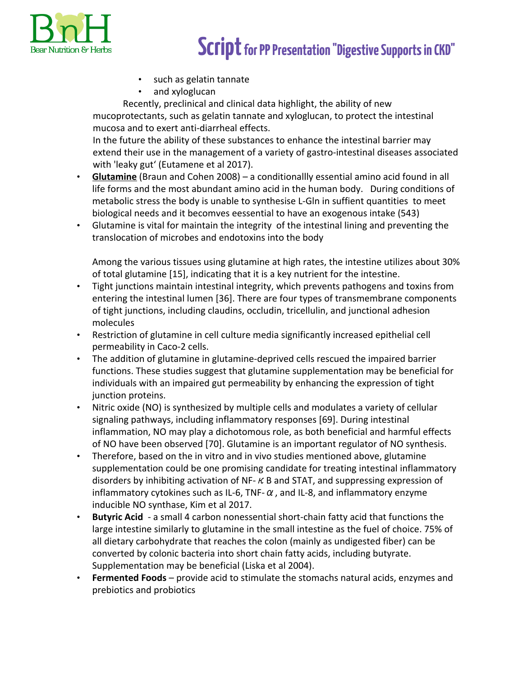

- such as gelatin tannate
- and xyloglucan

Recently, preclinical and clinical data highlight, the ability of new mucoprotectants, such as gelatin tannate and xyloglucan, to protect the intestinal mucosa and to exert anti-diarrheal effects.

In the future the ability of these substances to enhance the intestinal barrier may extend their use in the management of a variety of gastro-intestinal diseases associated with 'leaky gut' (Eutamene et al 2017).

- **Glutamine** (Braun and Cohen 2008) a conditionallly essential amino acid found in all life forms and the most abundant amino acid in the human body. During conditions of metabolic stress the body is unable to synthesise L-Gln in suffient quantities to meet biological needs and it becomves eessential to have an exogenous intake (543)
- Glutamine is vital for maintain the integrity of the intestinal lining and preventing the translocation of microbes and endotoxins into the body

Among the various tissues using glutamine at high rates, the intestine utilizes about 30% of total glutamine [15], indicating that it is a key nutrient for the intestine.

- Tight junctions maintain intestinal integrity, which prevents pathogens and toxins from entering the intestinal lumen [36]. There are four types of transmembrane components of tight junctions, including claudins, occludin, tricellulin, and junctional adhesion molecules
- Restriction of glutamine in cell culture media significantly increased epithelial cell permeability in Caco-2 cells.
- The addition of glutamine in glutamine-deprived cells rescued the impaired barrier functions. These studies suggest that glutamine supplementation may be beneficial for individuals with an impaired gut permeability by enhancing the expression of tight junction proteins.
- Nitric oxide (NO) is synthesized by multiple cells and modulates a variety of cellular signaling pathways, including inflammatory responses [69]. During intestinal inflammation, NO may play a dichotomous role, as both beneficial and harmful effects of NO have been observed [70]. Glutamine is an important regulator of NO synthesis.
- Therefore, based on the in vitro and in vivo studies mentioned above, glutamine supplementation could be one promising candidate for treating intestinal inflammatory disorders by inhibiting activation of NF- $\kappa$  B and STAT, and suppressing expression of inflammatory cytokines such as IL-6, TNF- $\alpha$ , and IL-8, and inflammatory enzyme inducible NO synthase, Kim et al 2017.
- **Butyric Acid**  a small 4 carbon nonessential short-chain fatty acid that functions the large intestine similarly to glutamine in the small intestine as the fuel of choice. 75% of all dietary carbohydrate that reaches the colon (mainly as undigested fiber) can be converted by colonic bacteria into short chain fatty acids, including butyrate. Supplementation may be beneficial (Liska et al 2004).
- **Fermented Foods**  provide acid to stimulate the stomachs natural acids, enzymes and prebiotics and probiotics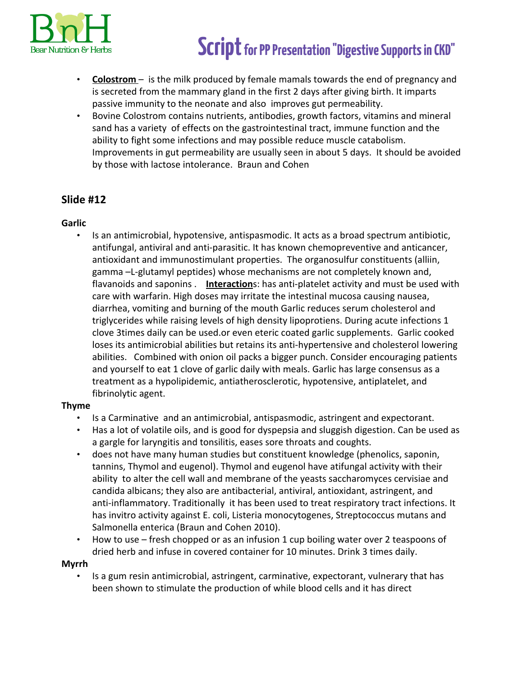

- **Colostrom**  is the milk produced by female mamals towards the end of pregnancy and is secreted from the mammary gland in the first 2 days after giving birth. It imparts passive immunity to the neonate and also improves gut permeability.
- Bovine Colostrom contains nutrients, antibodies, growth factors, vitamins and mineral sand has a variety of effects on the gastrointestinal tract, immune function and the ability to fight some infections and may possible reduce muscle catabolism. Improvements in gut permeability are usually seen in about 5 days. It should be avoided by those with lactose intolerance. Braun and Cohen

## **Slide #12**

### **Garlic**

• Is an antimicrobial, hypotensive, antispasmodic. It acts as a broad spectrum antibiotic, antifungal, antiviral and anti-parasitic. It has known chemopreventive and anticancer, antioxidant and immunostimulant properties. The organosulfur constituents (alliin, gamma –L-glutamyl peptides) whose mechanisms are not completely known and, flavanoids and saponins . **Interaction**s: has anti-platelet activity and must be used with care with warfarin. High doses may irritate the intestinal mucosa causing nausea, diarrhea, vomiting and burning of the mouth Garlic reduces serum cholesterol and triglycerides while raising levels of high density lipoprotiens. During acute infections 1 clove 3times daily can be used.or even eteric coated garlic supplements. Garlic cooked loses its antimicrobial abilities but retains its anti-hypertensive and cholesterol lowering abilities. Combined with onion oil packs a bigger punch. Consider encouraging patients and yourself to eat 1 clove of garlic daily with meals. Garlic has large consensus as a treatment as a hypolipidemic, antiatherosclerotic, hypotensive, antiplatelet, and fibrinolytic agent.

### **Thyme**

- Is a Carminative and an antimicrobial, antispasmodic, astringent and expectorant.
- Has a lot of volatile oils, and is good for dyspepsia and sluggish digestion. Can be used as a gargle for laryngitis and tonsilitis, eases sore throats and coughts.
- does not have many human studies but constituent knowledge (phenolics, saponin, tannins, Thymol and eugenol). Thymol and eugenol have atifungal activity with their ability to alter the cell wall and membrane of the yeasts saccharomyces cervisiae and candida albicans; they also are antibacterial, antiviral, antioxidant, astringent, and anti-inflammatory. Traditionally it has been used to treat respiratory tract infections. It has invitro activity against E. coli, Listeria monocytogenes, Streptococcus mutans and Salmonella enterica (Braun and Cohen 2010).
- How to use fresh chopped or as an infusion 1 cup boiling water over 2 teaspoons of dried herb and infuse in covered container for 10 minutes. Drink 3 times daily.

### **Myrrh**

• Is a gum resin antimicrobial, astringent, carminative, expectorant, vulnerary that has been shown to stimulate the production of while blood cells and it has direct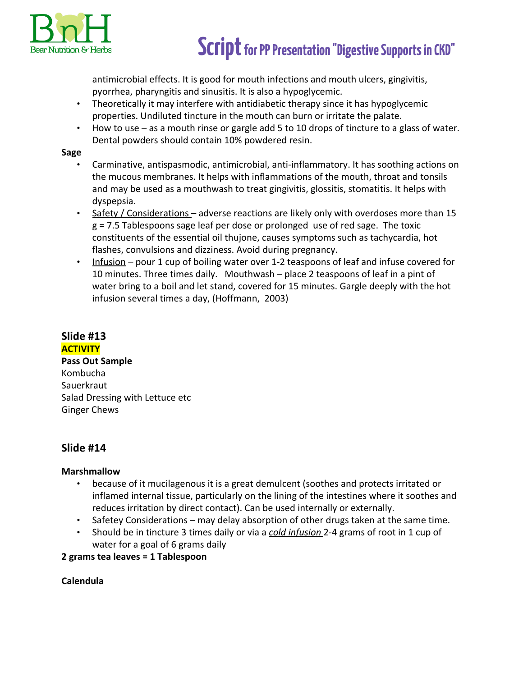

antimicrobial effects. It is good for mouth infections and mouth ulcers, gingivitis, pyorrhea, pharyngitis and sinusitis. It is also a hypoglycemic.

- Theoretically it may interfere with antidiabetic therapy since it has hypoglycemic properties. Undiluted tincture in the mouth can burn or irritate the palate.
- How to use as a mouth rinse or gargle add 5 to 10 drops of tincture to a glass of water. Dental powders should contain 10% powdered resin.

#### **Sage**

- Carminative, antispasmodic, antimicrobial, anti-inflammatory. It has soothing actions on the mucous membranes. It helps with inflammations of the mouth, throat and tonsils and may be used as a mouthwash to treat gingivitis, glossitis, stomatitis. It helps with dyspepsia.
- Safety / Considerations adverse reactions are likely only with overdoses more than 15 g = 7.5 Tablespoons sage leaf per dose or prolonged use of red sage. The toxic constituents of the essential oil thujone, causes symptoms such as tachycardia, hot flashes, convulsions and dizziness. Avoid during pregnancy.
- Infusion pour 1 cup of boiling water over 1-2 teaspoons of leaf and infuse covered for 10 minutes. Three times daily. Mouthwash – place 2 teaspoons of leaf in a pint of water bring to a boil and let stand, covered for 15 minutes. Gargle deeply with the hot infusion several times a day, (Hoffmann, 2003)

# **Slide #13**

**ACTIVITY**

**Pass Out Sample** Kombucha **Sauerkraut** Salad Dressing with Lettuce etc Ginger Chews

## **Slide #14**

### **Marshmallow**

- because of it mucilagenous it is a great demulcent (soothes and protects irritated or inflamed internal tissue, particularly on the lining of the intestines where it soothes and reduces irritation by direct contact). Can be used internally or externally.
- Safetey Considerations may delay absorption of other drugs taken at the same time.
- Should be in tincture 3 times daily or via a *cold infusion* 2-4 grams of root in 1 cup of water for a goal of 6 grams daily

**2 grams tea leaves = 1 Tablespoon**

### **Calendula**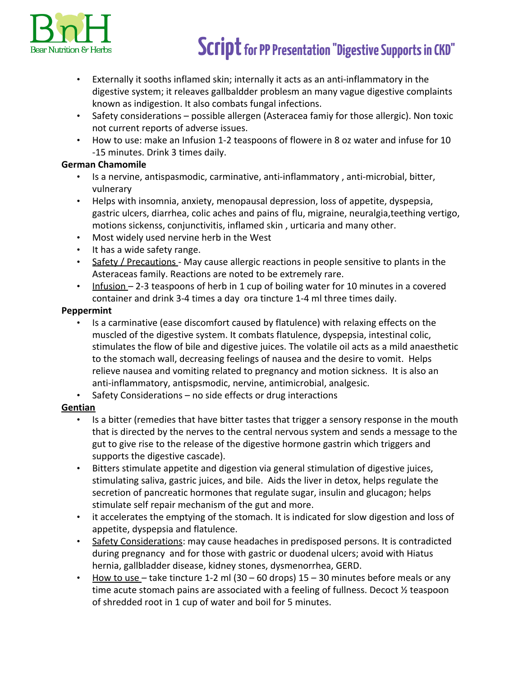

- Externally it sooths inflamed skin; internally it acts as an anti-inflammatory in the digestive system; it releaves gallbaldder problesm an many vague digestive complaints known as indigestion. It also combats fungal infections.
- Safety considerations possible allergen (Asteracea famiy for those allergic). Non toxic not current reports of adverse issues.
- How to use: make an Infusion 1-2 teaspoons of flowere in 8 oz water and infuse for 10 -15 minutes. Drink 3 times daily.

### **German Chamomile**

- Is a nervine, antispasmodic, carminative, anti-inflammatory , anti-microbial, bitter, vulnerary
- Helps with insomnia, anxiety, menopausal depression, loss of appetite, dyspepsia, gastric ulcers, diarrhea, colic aches and pains of flu, migraine, neuralgia,teething vertigo, motions sickenss, conjunctivitis, inflamed skin , urticaria and many other.
- Most widely used nervine herb in the West
- It has a wide safety range.
- Safety / Precautions May cause allergic reactions in people sensitive to plants in the Asteraceas family. Reactions are noted to be extremely rare.
- Infusion 2-3 teaspoons of herb in 1 cup of boiling water for 10 minutes in a covered container and drink 3-4 times a day ora tincture 1-4 ml three times daily.

### **Peppermint**

- Is a carminative (ease discomfort caused by flatulence) with relaxing effects on the muscled of the digestive system. It combats flatulence, dyspepsia, intestinal colic, stimulates the flow of bile and digestive juices. The volatile oil acts as a mild anaesthetic to the stomach wall, decreasing feelings of nausea and the desire to vomit. Helps relieve nausea and vomiting related to pregnancy and motion sickness. It is also an anti-inflammatory, antispsmodic, nervine, antimicrobial, analgesic.
- Safety Considerations no side effects or drug interactions

### **Gentian**

- Is a bitter (remedies that have bitter tastes that trigger a sensory response in the mouth that is directed by the nerves to the central nervous system and sends a message to the gut to give rise to the release of the digestive hormone gastrin which triggers and supports the digestive cascade).
- Bitters stimulate appetite and digestion via general stimulation of digestive juices, stimulating saliva, gastric juices, and bile. Aids the liver in detox, helps regulate the secretion of pancreatic hormones that regulate sugar, insulin and glucagon; helps stimulate self repair mechanism of the gut and more.
- it accelerates the emptying of the stomach. It is indicated for slow digestion and loss of appetite, dyspepsia and flatulence.
- Safety Considerations: may cause headaches in predisposed persons. It is contradicted during pregnancy and for those with gastric or duodenal ulcers; avoid with Hiatus hernia, gallbladder disease, kidney stones, dysmenorrhea, GERD.
- How to use take tincture 1-2 ml (30 60 drops) 15 30 minutes before meals or any time acute stomach pains are associated with a feeling of fullness. Decoct ½ teaspoon of shredded root in 1 cup of water and boil for 5 minutes.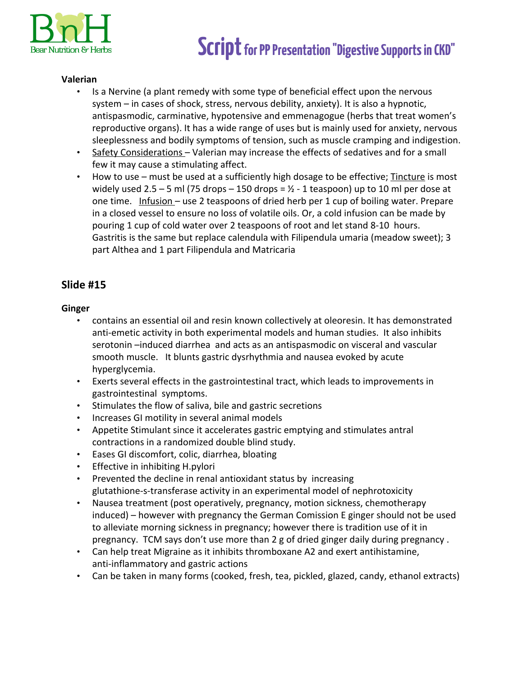

### **Valerian**

- Is a Nervine (a plant remedy with some type of beneficial effect upon the nervous system – in cases of shock, stress, nervous debility, anxiety). It is also a hypnotic, antispasmodic, carminative, hypotensive and emmenagogue (herbs that treat women's reproductive organs). It has a wide range of uses but is mainly used for anxiety, nervous sleeplessness and bodily symptoms of tension, such as muscle cramping and indigestion.
- Safety Considerations Valerian may increase the effects of sedatives and for a small few it may cause a stimulating affect.
- How to use must be used at a sufficiently high dosage to be effective; Tincture is most widely used 2.5 – 5 ml (75 drops – 150 drops =  $\frac{1}{2}$  - 1 teaspoon) up to 10 ml per dose at one time. Infusion - use 2 teaspoons of dried herb per 1 cup of boiling water. Prepare in a closed vessel to ensure no loss of volatile oils. Or, a cold infusion can be made by pouring 1 cup of cold water over 2 teaspoons of root and let stand 8-10 hours. Gastritis is the same but replace calendula with Filipendula umaria (meadow sweet); 3 part Althea and 1 part Filipendula and Matricaria

### **Slide #15**

### **Ginger**

- contains an essential oil and resin known collectively at oleoresin. It has demonstrated anti-emetic activity in both experimental models and human studies. It also inhibits serotonin –induced diarrhea and acts as an antispasmodic on visceral and vascular smooth muscle. It blunts gastric dysrhythmia and nausea evoked by acute hyperglycemia.
- Exerts several effects in the gastrointestinal tract, which leads to improvements in gastrointestinal symptoms.
- Stimulates the flow of saliva, bile and gastric secretions
- Increases GI motility in several animal models
- Appetite Stimulant since it accelerates gastric emptying and stimulates antral contractions in a randomized double blind study.
- Eases GI discomfort, colic, diarrhea, bloating
- Effective in inhibiting H.pylori
- Prevented the decline in renal antioxidant status by increasing glutathione-s-transferase activity in an experimental model of nephrotoxicity
- Nausea treatment (post operatively, pregnancy, motion sickness, chemotherapy induced) – however with pregnancy the German Comission E ginger should not be used to alleviate morning sickness in pregnancy; however there is tradition use of it in pregnancy. TCM says don't use more than 2 g of dried ginger daily during pregnancy .
- Can help treat Migraine as it inhibits thromboxane A2 and exert antihistamine, anti-inflammatory and gastric actions
- Can be taken in many forms (cooked, fresh, tea, pickled, glazed, candy, ethanol extracts)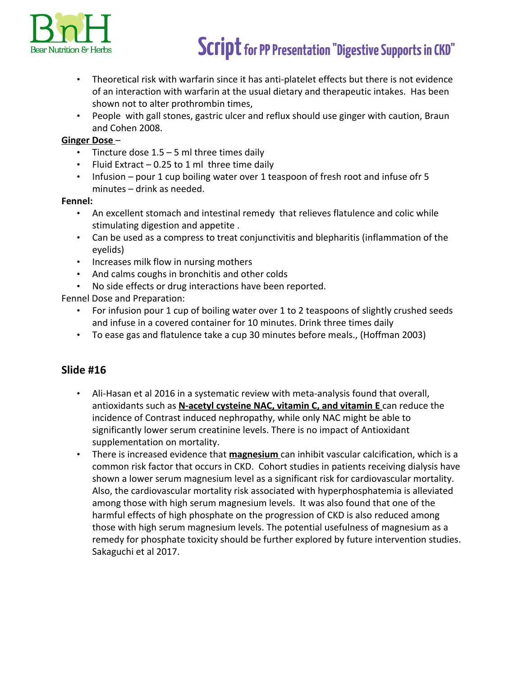

- Theoretical risk with warfarin since it has anti-platelet effects but there is not evidence of an interaction with warfarin at the usual dietary and therapeutic intakes. Has been shown not to alter prothrombin times,
- People with gall stones, gastric ulcer and reflux should use ginger with caution, Braun and Cohen 2008.

### **Ginger Dose** –

- Tincture dose  $1.5 5$  ml three times daily
- Fluid Extract 0.25 to 1 ml three time daily
- Infusion pour 1 cup boiling water over 1 teaspoon of fresh root and infuse ofr 5 minutes – drink as needed.

### **Fennel:**

- An excellent stomach and intestinal remedy that relieves flatulence and colic while stimulating digestion and appetite .
- Can be used as a compress to treat conjunctivitis and blepharitis (inflammation of the eyelids)
- Increases milk flow in nursing mothers
- And calms coughs in bronchitis and other colds
- No side effects or drug interactions have been reported.

Fennel Dose and Preparation:

- For infusion pour 1 cup of boiling water over 1 to 2 teaspoons of slightly crushed seeds and infuse in a covered container for 10 minutes. Drink three times daily
- To ease gas and flatulence take a cup 30 minutes before meals., (Hoffman 2003)

- Ali-Hasan et al 2016 in a systematic review with meta-analysis found that overall, antioxidants such as **N-acetyl cysteine NAC, vitamin C, and vitamin E** can reduce the incidence of Contrast induced nephropathy, while only NAC might be able to significantly lower serum creatinine levels. There is no impact of Antioxidant supplementation on mortality.
- There is increased evidence that **magnesium** can inhibit vascular calcification, which is a common risk factor that occurs in CKD. Cohort studies in patients receiving dialysis have shown a lower serum magnesium level as a significant risk for cardiovascular mortality. Also, the cardiovascular mortality risk associated with hyperphosphatemia is alleviated among those with high serum magnesium levels. It was also found that one of the harmful effects of high phosphate on the progression of CKD is also reduced among those with high serum magnesium levels. The potential usefulness of magnesium as a remedy for phosphate toxicity should be further explored by future intervention studies. Sakaguchi et al 2017.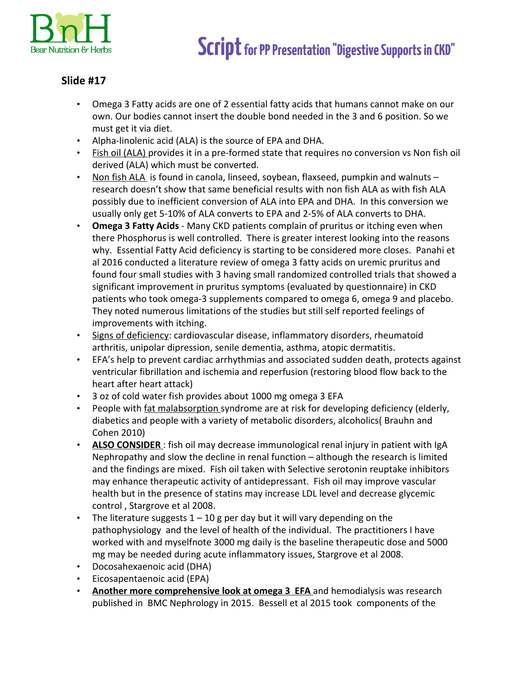

- Omega 3 Fatty acids are one of 2 essential fatty acids that humans cannot make on our own. Our bodies cannot insert the double bond needed in the 3 and 6 position. So we must get it via diet.
- Alpha-linolenic acid (ALA) is the source of EPA and DHA.
- Fish oil (ALA) provides it in a pre-formed state that requires no conversion vs Non fish oil derived (ALA) which must be converted.
- Non fish ALA is found in canola, linseed, soybean, flaxseed, pumpkin and walnuts research doesn't show that same beneficial results with non fish ALA as with fish ALA possibly due to inefficient conversion of ALA into EPA and DHA. In this conversion we usually only get 5-10% of ALA converts to EPA and 2-5% of ALA converts to DHA.
- **Omega 3 Fatty Acids**  Many CKD patients complain of pruritus or itching even when there Phosphorus is well controlled. There is greater interest looking into the reasons why. Essential Fatty Acid deficiency is starting to be considered more closes. Panahi et al 2016 conducted a literature review of omega 3 fatty acids on uremic pruritus and found four small studies with 3 having small randomized controlled trials that showed a significant improvement in pruritus symptoms (evaluated by questionnaire) in CKD patients who took omega-3 supplements compared to omega 6, omega 9 and placebo. They noted numerous limitations of the studies but still self reported feelings of improvements with itching.
- Signs of deficiency: cardiovascular disease, inflammatory disorders, rheumatoid arthritis, unipolar dipression, senile dementia, asthma, atopic dermatitis.
- EFA's help to prevent cardiac arrhythmias and associated sudden death, protects against ventricular fibrillation and ischemia and reperfusion (restoring blood flow back to the heart after heart attack)
- 3 oz of cold water fish provides about 1000 mg omega 3 EFA
- People with fat malabsorption syndrome are at risk for developing deficiency (elderly, diabetics and people with a variety of metabolic disorders, alcoholics( Brauhn and Cohen 2010)
- **ALSO CONSIDER** : fish oil may decrease immunological renal injury in patient with IgA Nephropathy and slow the decline in renal function – although the research is limited and the findings are mixed. Fish oil taken with Selective serotonin reuptake inhibitors may enhance therapeutic activity of antidepressant. Fish oil may improve vascular health but in the presence of statins may increase LDL level and decrease glycemic control , Stargrove et al 2008.
- The literature suggests  $1 10$  g per day but it will vary depending on the pathophysiology and the level of health of the individual. The practitioners I have worked with and myselfnote 3000 mg daily is the baseline therapeutic dose and 5000 mg may be needed during acute inflammatory issues, Stargrove et al 2008.
- Docosahexaenoic acid (DHA)
- Eicosapentaenoic acid (EPA)
- **Another more comprehensive look at omega 3 EFA** and hemodialysis was research published in BMC Nephrology in 2015. Bessell et al 2015 took components of the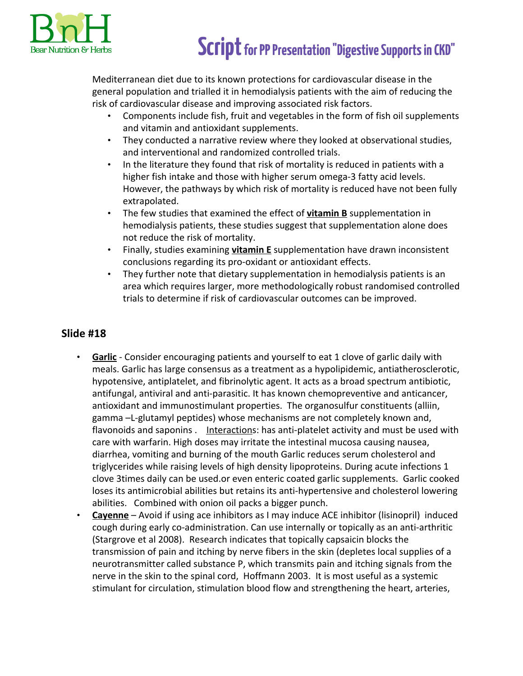

Mediterranean diet due to its known protections for cardiovascular disease in the general population and trialled it in hemodialysis patients with the aim of reducing the risk of cardiovascular disease and improving associated risk factors.

- Components include fish, fruit and vegetables in the form of fish oil supplements and vitamin and antioxidant supplements.
- They conducted a narrative review where they looked at observational studies, and interventional and randomized controlled trials.
- In the literature they found that risk of mortality is reduced in patients with a higher fish intake and those with higher serum omega-3 fatty acid levels. However, the pathways by which risk of mortality is reduced have not been fully extrapolated.
- The few studies that examined the effect of **vitamin B** supplementation in hemodialysis patients, these studies suggest that supplementation alone does not reduce the risk of mortality.
- Finally, studies examining **vitamin E** supplementation have drawn inconsistent conclusions regarding its pro-oxidant or antioxidant effects.
- They further note that dietary supplementation in hemodialysis patients is an area which requires larger, more methodologically robust randomised controlled trials to determine if risk of cardiovascular outcomes can be improved.

- **Garlic** Consider encouraging patients and yourself to eat 1 clove of garlic daily with meals. Garlic has large consensus as a treatment as a hypolipidemic, antiatherosclerotic, hypotensive, antiplatelet, and fibrinolytic agent. It acts as a broad spectrum antibiotic, antifungal, antiviral and anti-parasitic. It has known chemopreventive and anticancer, antioxidant and immunostimulant properties. The organosulfur constituents (alliin, gamma –L-glutamyl peptides) whose mechanisms are not completely known and, flavonoids and saponins . Interactions: has anti-platelet activity and must be used with care with warfarin. High doses may irritate the intestinal mucosa causing nausea, diarrhea, vomiting and burning of the mouth Garlic reduces serum cholesterol and triglycerides while raising levels of high density lipoproteins. During acute infections 1 clove 3times daily can be used.or even enteric coated garlic supplements. Garlic cooked loses its antimicrobial abilities but retains its anti-hypertensive and cholesterol lowering abilities. Combined with onion oil packs a bigger punch.
- **Cayenne** Avoid if using ace inhibitors as I may induce ACE inhibitor (lisinopril) induced cough during early co-administration. Can use internally or topically as an anti-arthritic (Stargrove et al 2008). Research indicates that topically capsaicin blocks the transmission of pain and itching by nerve fibers in the skin (depletes local supplies of a neurotransmitter called substance P, which transmits pain and itching signals from the nerve in the skin to the spinal cord, Hoffmann 2003. It is most useful as a systemic stimulant for circulation, stimulation blood flow and strengthening the heart, arteries,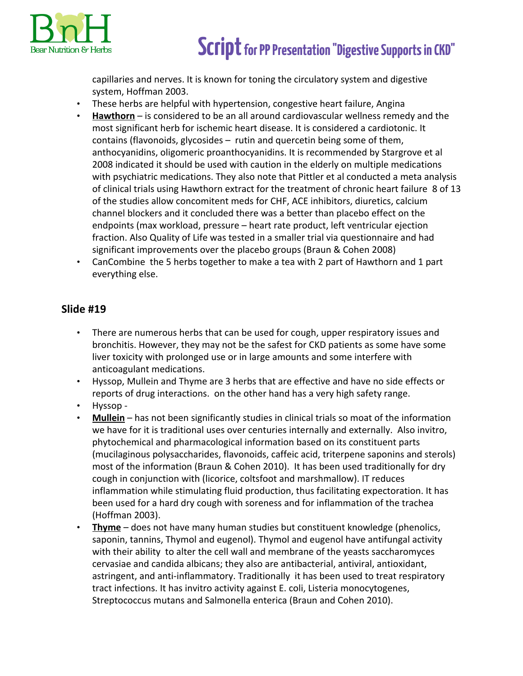

capillaries and nerves. It is known for toning the circulatory system and digestive system, Hoffman 2003.

- These herbs are helpful with hypertension, congestive heart failure, Angina
- **Hawthorn** is considered to be an all around cardiovascular wellness remedy and the most significant herb for ischemic heart disease. It is considered a cardiotonic. It contains (flavonoids, glycosides – rutin and quercetin being some of them, anthocyanidins, oligomeric proanthocyanidins. It is recommended by Stargrove et al 2008 indicated it should be used with caution in the elderly on multiple medications with psychiatric medications. They also note that Pittler et al conducted a meta analysis of clinical trials using Hawthorn extract for the treatment of chronic heart failure 8 of 13 of the studies allow concomitent meds for CHF, ACE inhibitors, diuretics, calcium channel blockers and it concluded there was a better than placebo effect on the endpoints (max workload, pressure – heart rate product, left ventricular ejection fraction. Also Quality of Life was tested in a smaller trial via questionnaire and had significant improvements over the placebo groups (Braun & Cohen 2008)
- CanCombine the 5 herbs together to make a tea with 2 part of Hawthorn and 1 part everything else.

- There are numerous herbs that can be used for cough, upper respiratory issues and bronchitis. However, they may not be the safest for CKD patients as some have some liver toxicity with prolonged use or in large amounts and some interfere with anticoagulant medications.
- Hyssop, Mullein and Thyme are 3 herbs that are effective and have no side effects or reports of drug interactions. on the other hand has a very high safety range.
- Hyssop -
- **Mullein** has not been significantly studies in clinical trials so moat of the information we have for it is traditional uses over centuries internally and externally. Also invitro, phytochemical and pharmacological information based on its constituent parts (mucilaginous polysaccharides, flavonoids, caffeic acid, triterpene saponins and sterols) most of the information (Braun & Cohen 2010). It has been used traditionally for dry cough in conjunction with (licorice, coltsfoot and marshmallow). IT reduces inflammation while stimulating fluid production, thus facilitating expectoration. It has been used for a hard dry cough with soreness and for inflammation of the trachea (Hoffman 2003).
- **Thyme** does not have many human studies but constituent knowledge (phenolics, saponin, tannins, Thymol and eugenol). Thymol and eugenol have antifungal activity with their ability to alter the cell wall and membrane of the yeasts saccharomyces cervasiae and candida albicans; they also are antibacterial, antiviral, antioxidant, astringent, and anti-inflammatory. Traditionally it has been used to treat respiratory tract infections. It has invitro activity against E. coli, Listeria monocytogenes, Streptococcus mutans and Salmonella enterica (Braun and Cohen 2010).